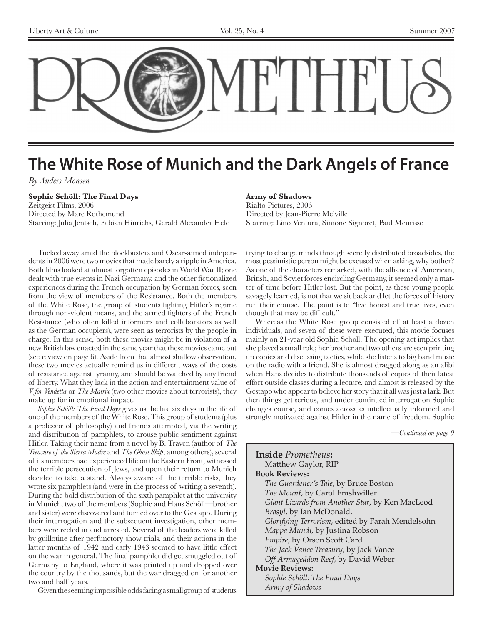

### **The White Rose of Munich and the Dark Angels of France**

*By Anders Monsen*

### **Sophie Schöll: The Final Days**

Zeitgeist Films, 2006 Directed by Marc Rothemund Starring: Julia Jentsch, Fabian Hinrichs, Gerald Alexander Held **Army of Shadows**

Rialto Pictures, 2006 Directed by Jean-Pierre Melville Starring: Lino Ventura, Simone Signoret, Paul Meurisse

Tucked away amid the blockbusters and Oscar-aimed independents in 2006 were two movies that made barely a ripple in America. Both films looked at almost forgotten episodes in World War II; one dealt with true events in Nazi Germany, and the other fictionalized experiences during the French occupation by German forces, seen from the view of members of the Resistance. Both the members of the White Rose, the group of students fighting Hitler's regime through non-violent means, and the armed fighters of the French Resistance (who often killed informers and collaborators as well as the German occupiers), were seen as terrorists by the people in charge. In this sense, both these movies might be in violation of a new British law enacted in the same year that these movies came out (see review on page 6). Aside from that almost shallow observation, these two movies actually remind us in different ways of the costs of resistance against tyranny, and should be watched by any friend of liberty. What they lack in the action and entertainment value of *V for Vendetta* or *The Matrix* (two other movies about terrorists), they make up for in emotional impact.

*Sophie Schöll: The Final Days* gives us the last six days in the life of one of the members of the White Rose. This group of students (plus a professor of philosophy) and friends attempted, via the writing and distribution of pamphlets, to arouse public sentiment against Hitler. Taking their name from a novel by B. Traven (author of *The Treasure of the Sierra Madre* and *The Ghost Ship*, among others), several of its members had experienced life on the Eastern Front, witnessed the terrible persecution of Jews, and upon their return to Munich decided to take a stand. Always aware of the terrible risks, they wrote six pamphlets (and were in the process of writing a seventh). During the bold distribution of the sixth pamphlet at the university in Munich, two of the members (Sophie and Hans Schöll—brother and sister) were discovered and turned over to the Gestapo. During their interrogation and the subsequent investigation, other members were reeled in and arrested. Several of the leaders were killed by guillotine after perfunctory show trials, and their actions in the latter months of 1942 and early 1943 seemed to have little effect on the war in general. The final pamphlet did get smuggled out of Germany to England, where it was printed up and dropped over the country by the thousands, but the war dragged on for another two and half years.

Given the seeming impossible odds facing a small group of students

trying to change minds through secretly distributed broadsides, the most pessimistic person might be excused when asking, why bother? As one of the characters remarked, with the alliance of American, British, and Soviet forces encircling Germany, it seemed only a matter of time before Hitler lost. But the point, as these young people savagely learned, is not that we sit back and let the forces of history run their course. The point is to "live honest and true lives, even though that may be difficult."

Whereas the White Rose group consisted of at least a dozen individuals, and seven of these were executed, this movie focuses mainly on 21-year old Sophie Schöll. The opening act implies that she played a small role; her brother and two others are seen printing up copies and discussing tactics, while she listens to big band music on the radio with a friend. She is almost dragged along as an alibi when Hans decides to distribute thousands of copies of their latest effort outside classes during a lecture, and almost is released by the Gestapo who appear to believe her story that it all was just a lark. But then things get serious, and under continued interrogation Sophie changes course, and comes across as intellectually informed and strongly motivated against Hitler in the name of freedom. Sophie

*—Continued on page 9*

| <b>Inside</b> <i>Prometheus</i> :                |
|--------------------------------------------------|
| Matthew Gaylor, RIP                              |
| <b>Book Reviews:</b>                             |
| The Guardener's Tale, by Bruce Boston            |
| The Mount, by Carol Emshwiller                   |
| Giant Lizards from Another Star, by Ken MacLeod  |
| Brasyl, by Ian McDonald,                         |
| Glorifying Terrorism, edited by Farah Mendelsohn |
| Mappa Mundi, by Justina Robson                   |
| Empire, by Orson Scott Card                      |
| The Jack Vance Treasury, by Jack Vance           |
| Off Armageddon Reef, by David Weber              |
| <b>Movie Reviews:</b>                            |
| Sophie Schöll: The Final Days                    |
| Army of Shadows                                  |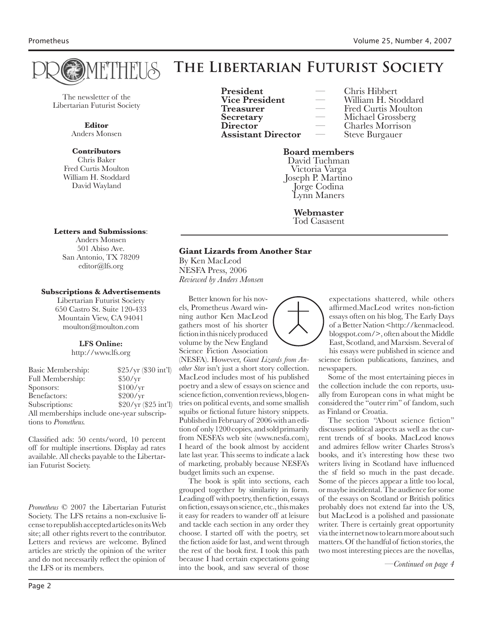



The newsletter of the Libertarian Futurist Society

> **Editor** Anders Monsen

### **Contributors**

Chris Baker Fred Curtis Moulton William H. Stoddard David Wayland

### **Letters and Submissions**:

Anders Monsen 501 Abiso Ave. San Antonio, TX 78209 editor@lfs.org

### **Subscriptions & Advertisements**

Libertarian Futurist Society 650 Castro St. Suite 120-433 Mountain View, CA 94041 moulton@moulton.com

### **LFS Online:**

http://www.lfs.org

| Basic Membership:                          | \$25/yr (\$30 int']  |
|--------------------------------------------|----------------------|
| <b>Full Membership:</b>                    | \$50/yr              |
| Sponsors:                                  | \$100/yr             |
| Benefactors:                               | \$200/yr             |
| Subscriptions:                             | \$20/yr (\$25 int'l) |
| All memberships include one-year subscrip- |                      |
| tions to Prometheus.                       |                      |

Classified ads: 50 cents/word, 10 percent off for multiple insertions. Display ad rates available. All checks payable to the Libertarian Futurist Society.

*Prometheus* © 2007 the Libertarian Futurist Society. The LFS retains a non-exclusive license to republish accepted articles on its Web site; all other rights revert to the contributor. Letters and reviews are welcome. Bylined articles are strictly the opinion of the writer and do not necessarily reflect the opinion of the LFS or its members.

**President** — Chris Hibbert<br> **Vice President** — William H. Sto **Secretary** — Michael Grossberg<br> **Director** — Charles Morrison<br> **Assistant Director** — Steve Burgauer **Assistant Director** 

**Vice President** — William H. Stoddard<br> **Treasurer** — Fred Curtis Moulton **Treasurer** — Fred Curtis Moulton<br> **Secretary** — Michael Grossberg

### **Board members**

David Tuchman Victoria Varga Joseph P. Martino Jorge Codina Lynn Maners

**Webmaster** Tod Casasent

### **Giant Lizards from Another Star**

By Ken MacLeod NESFA Press, 2006 *Reviewed by Anders Monsen*

Better known for his novels, Prometheus Award winning author Ken MacLeod gathers most of his shorter fiction in this nicely produced volume by the New England Science Fiction Association

(NESFA). However, *Giant Lizards from Another Star* isn't just a short story collection. MacLeod includes most of his published poetry and a slew of essays on science and science fiction, convention reviews, blog entries on political events, and some smallish squibs or fictional future history snippets. Published in February of 2006 with an edition of only 1200 copies, and sold primarily from NESFA's web site (www.nesfa.com), I heard of the book almost by accident late last year. This seems to indicate a lack of marketing, probably because NESFA's budget limits such an expense.

The book is split into sections, each grouped together by similarity in form. Leading off with poetry, then fiction, essays on fiction, essays on science, etc., this makes it easy for readers to wander off at leisure and tackle each section in any order they choose. I started off with the poetry, set the fiction aside for last, and went through the rest of the book first. I took this path because I had certain expectations going into the book, and saw several of those



expectations shattered, while others affirmed.MacLeod writes non-fiction essays often on his blog, The Early Days of a Better Nation <http://kenmacleod. blogspot.com/>, often about the Middle East, Scotland, and Marxism. Several of his essays were published in science and

science fiction publications, fanzines, and newspapers.

Some of the most entertaining pieces in the collection include the con reports, usually from European cons in what might be considered the "outer rim" of fandom, such as Finland or Croatia.

The section "About science fiction" discusses political aspects as well as the current trends of sf books. MacLeod knows and admires fellow writer Charles Stross's books, and it's interesting how these two writers living in Scotland have influenced the sf field so much in the past decade. Some of the pieces appear a little too local, or maybe incidental. The audience for some of the essays on Scotland or British politics probably does not extend far into the US, but MacLeod is a polished and passionate writer. There is certainly great opportunity via the internet now to learn more about such matters. Of the handful of fiction stories, the two most interesting pieces are the novellas,

*—Continued on page 4*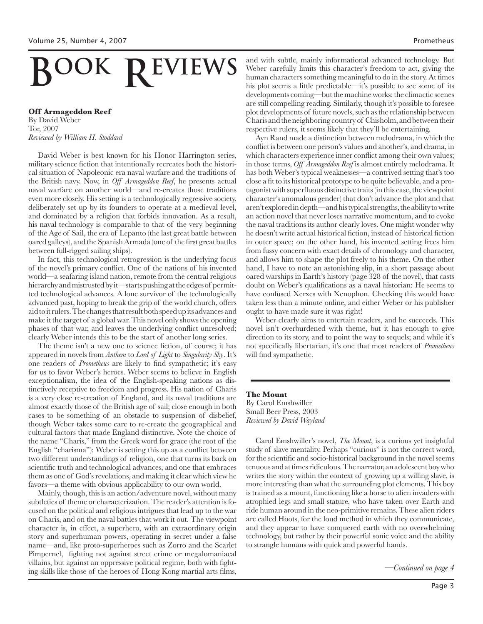# **REVIEWS BOOK**

**Off Armageddon Reef**

By David Weber Tor, 2007 *Reviewed by William H. Stoddard*

David Weber is best known for his Honor Harrington series, military science fiction that intentionally recreates both the historical situation of Napoleonic era naval warfare and the traditions of the British navy. Now, in *Off Armageddon Reef*, he presents actual naval warfare on another world—and re-creates those traditions even more closely. His setting is a technologically regressive society, deliberately set up by its founders to operate at a medieval level, and dominated by a religion that forbids innovation. As a result, his naval technology is comparable to that of the very beginning of the Age of Sail, the era of Lepanto (the last great battle between oared galleys), and the Spanish Armada (one of the first great battles between full-rigged sailing ships).

In fact, this technological retrogression is the underlying focus of the novel's primary conflict. One of the nations of his invented world—a seafaring island nation, remote from the central religious hierarchy and mistrusted by it—starts pushing at the edges of permitted technological advances. A lone survivor of the technologically advanced past, hoping to break the grip of the world church, offers aid to it rulers. The changes that result both speed up its advances and make it the target of a global war. This novel only shows the opening phases of that war, and leaves the underlying conflict unresolved; clearly Weber intends this to be the start of another long series.

The theme isn't a new one to science fiction, of course; it has appeared in novels from *Anthem* to *Lord of Light* to *Singularity Sky*. It's one readers of *Prometheus* are likely to find sympathetic; it's easy for us to favor Weber's heroes. Weber seems to believe in English exceptionalism, the idea of the English-speaking nations as distinctively receptive to freedom and progress. His nation of Charis is a very close re-creation of England, and its naval traditions are almost exactly those of the British age of sail; close enough in both cases to be something of an obstacle to suspension of disbelief, though Weber takes some care to re-create the geographical and cultural factors that made England distinctive. Note the choice of the name "Charis," from the Greek word for grace (the root of the English "charisma"): Weber is setting this up as a conflict between two different understandings of religion, one that turns its back on scientific truth and technological advances, and one that embraces them as one of God's revelations, and making it clear which view he favors—a theme with obvious applicability to our own world.

Mainly, though, this is an action/adventure novel, without many subtleties of theme or characterization. The reader's attention is focused on the political and religious intrigues that lead up to the war on Charis, and on the naval battles that work it out. The viewpoint character is, in effect, a superhero, with an extraordinary origin story and superhuman powers, operating in secret under a false name—and, like proto-superheroes such as Zorro and the Scarlet Pimpernel, fighting not against street crime or megalomaniacal villains, but against an oppressive political regime, both with fighting skills like those of the heroes of Hong Kong martial arts films,

and with subtle, mainly informational advanced technology. But Weber carefully limits this character's freedom to act, giving the human characters something meaningful to do in the story. At times his plot seems a little predictable—it's possible to see some of its developments coming—but the machine works: the climactic scenes are still compelling reading. Similarly, though it's possible to foresee plot developments of future novels, such as the relationship between Charis and the neighboring country of Chisholm, and between their respective rulers, it seems likely that they'll be entertaining.

Ayn Rand made a distinction between melodrama, in which the conflict is between one person's values and another's, and drama, in which characters experience inner conflict among their own values; in those terms, *Off Armageddon Reef* is almost entirely melodrama. It has both Weber's typical weaknesses—a contrived setting that's too close a fit to its historical prototype to be quite believable, and a protagonist with superfluous distinctive traits (in this case, the viewpoint character's anomalous gender) that don't advance the plot and that aren't explored in depth—and his typical strengths, the ability to write an action novel that never loses narrative momentum, and to evoke the naval traditions its author clearly loves. One might wonder why he doesn't write actual historical fiction, instead of historical fiction in outer space; on the other hand, his invented setting frees him from fussy concern with exact details of chronology and character, and allows him to shape the plot freely to his theme. On the other hand, I have to note an astonishing slip, in a short passage about oared warships in Earth's history (page 328 of the novel), that casts doubt on Weber's qualifications as a naval historian: He seems to have confused Xerxes with Xenophon. Checking this would have taken less than a minute online, and either Weber or his publisher ought to have made sure it was right!

Weber clearly aims to entertain readers, and he succeeds. This novel isn't overburdened with theme, but it has enough to give direction to its story, and to point the way to sequels; and while it's not specifically libertarian, it's one that most readers of *Prometheus* will find sympathetic.

### **The Mount**

By Carol Emshwiller Small Beer Press, 2003 *Reviewed by David Wayland*

Carol Emshwiller's novel, *The Mount*, is a curious yet insightful study of slave mentality. Perhaps "curious" is not the correct word, for the scientific and socio-historical background in the novel seems tenuous and at times ridiculous. The narrator, an adolescent boy who writes the story within the context of growing up a willing slave, is more interesting than what the surrounding plot elements. This boy is trained as a mount, functioning like a horse to alien invaders with atrophied legs and small stature, who have taken over Earth and ride human around in the neo-primitive remains. These alien riders are called Hoots, for the loud method in which they communicate, and they appear to have conquered earth with no overwhelming technology, but rather by their powerful sonic voice and the ability to strangle humans with quick and powerful hands.

*—Continued on page 4*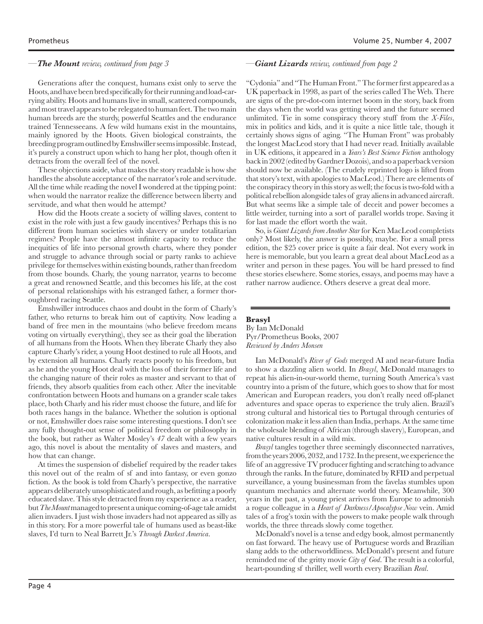### *—The Mount review, continued from page 3*

Generations after the conquest, humans exist only to serve the Hoots, and have been bred specifically for their running and load-carrying ability. Hoots and humans live in small, scattered compounds, and most travel appears to be relegated to human feet. The two main human breeds are the sturdy, powerful Seattles and the endurance trained Tennesseeans. A few wild humans exist in the mountains, mainly ignored by the Hoots. Given biological constraints, the breeding program outlined by Emshwiller seems impossible. Instead, it's purely a construct upon which to hang her plot, though often it detracts from the overall feel of the novel.

These objections aside, what makes the story readable is how she handles the absolute acceptance of the narrator's role and servitude. All the time while reading the novel I wondered at the tipping point: when would the narrator realize the difference between liberty and servitude, and what then would he attempt?

How did the Hoots create a society of willing slaves, content to exist in the role with just a few gaudy incentives? Perhaps this is no different from human societies with slavery or under totalitarian regimes? People have the almost infinite capacity to reduce the inequities of life into personal growth charts, where they ponder and struggle to advance through social or party ranks to achieve privilege for themselves within existing bounds, rather than freedom from those bounds. Charly, the young narrator, yearns to become a great and renowned Seattle, and this becomes his life, at the cost of personal relationships with his estranged father, a former thoroughbred racing Seattle.

Emshwiller introduces chaos and doubt in the form of Charly's father, who returns to break him out of captivity. Now leading a band of free men in the mountains (who believe freedom means voting on virtually everything), they see as their goal the liberation of all humans from the Hoots. When they liberate Charly they also capture Charly's rider, a young Hoot destined to rule all Hoots, and by extension all humans. Charly reacts poorly to his freedom, but as he and the young Hoot deal with the loss of their former life and the changing nature of their roles as master and servant to that of friends, they absorb qualities from each other. After the inevitable confrontation between Hoots and humans on a grander scale takes place, both Charly and his rider must choose the future, and life for both races hangs in the balance. Whether the solution is optional or not, Emshwiller does raise some interesting questions. I don't see any fully thought-out sense of political freedom or philosophy in the book, but rather as Walter Mosley's *47* dealt with a few years ago, this novel is about the mentality of slaves and masters, and how that can change.

At times the suspension of disbelief required by the reader takes this novel out of the realm of sf and into fantasy, or even gonzo fiction. As the book is told from Charly's perspective, the narrative appears deliberately unsophisticated and rough, as befitting a poorly educated slave. This style detracted from my experience as a reader, but *The Mount* managed to present a unique coming-of-age tale amidst alien invaders. I just wish those invaders had not appeared as silly as in this story. For a more powerful tale of humans used as beast-like slaves, I'd turn to Neal Barrett Jr.'s *Through Darkest America*.

### *—Giant Lizards review, continued from page 2*

"Cydonia" and "The Human Front." The former first appeared as a UK paperback in 1998, as part of the series called The Web. There are signs of the pre-dot-com internet boom in the story, back from the days when the world was getting wired and the future seemed unlimited. Tie in some conspiracy theory stuff from the *X-Files*, mix in politics and kids, and it is quite a nice little tale, though it certainly shows signs of aging. "The Human Front" was probably the longest MacLeod story that I had never read. Initially available in UK editions, it appeared in a *Years's Best Science Fiction* anthology back in 2002 (edited by Gardner Dozois), and so a paperback version should now be available. (The crudely reprinted logo is lifted from that story's text, with apologies to MacLeod.) There are elements of the conspiracy theory in this story as well; the focus is two-fold with a political rebellion alongside tales of gray aliens in advanced aircraft. But what seems like a simple tale of deceit and power becomes a little weirder, turning into a sort of parallel worlds trope. Saving it for last made the effort worth the wait.

So, is *Giant Lizards from Another Star* for Ken MacLeod completists only? Most likely, the answer is possibly, maybe. For a small press edition, the \$25 cover price is quite a fair deal. Not every work in here is memorable, but you learn a great deal about MacLeod as a writer and person in these pages. You will be hard pressed to find these stories elsewhere. Some stories, essays, and poems may have a rather narrow audience. Others deserve a great deal more.

### **Brasyl**

By Ian McDonald Pyr/Prometheus Books, 2007 *Reviewed by Anders Monsen*

Ian McDonald's *River of Gods* merged AI and near-future India to show a dazzling alien world. In *Brasyl*, McDonald manages to repeat his alien-in-our-world theme, turning South America's vast country into a prism of the future, which goes to show that for most American and European readers, you don't really need off-planet adventures and space operas to experience the truly alien. Brazil's strong cultural and historical ties to Portugal through centuries of colonization make it less alien than India, perhaps. At the same time the wholesale blending of African (through slavery), European, and native cultures result in a wild mix.

*Brasyl* tangles together three seemingly disconnected narratives, from the years 2006, 2032, and 1732. In the present, we experience the life of an aggressive TV producer fighting and scratching to advance through the ranks. In the future, dominated by RFID and perpetual surveillance, a young businessman from the favelas stumbles upon quantum mechanics and alternate world theory. Meanwhile, 300 years in the past, a young priest arrives from Europe to admonish a rogue colleague in a *Heart of Darkness*/*Apocalypse Now* vein. Amid tales of a frog's toxin with the powers to make people walk through worlds, the three threads slowly come together.

McDonald's novel is a tense and edgy book, almost permanently on fast forward. The heavy use of Portuguese words and Brazilian slang adds to the otherworldliness. McDonald's present and future reminded me of the gritty movie *City of God*. The result is a colorful, heart-pounding sf thriller, well worth every Brazilian *Real*.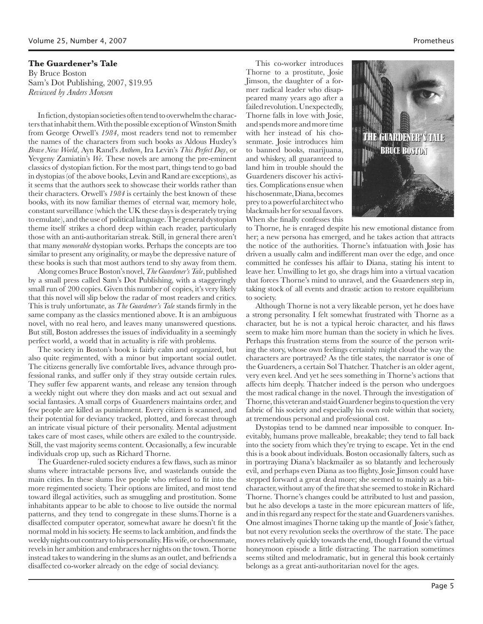### **The Guardener's Tale** By Bruce Boston Sam's Dot Publishing, 2007, \$19.95 *Reviewed by Anders Monsen*

In fiction, dystopian societies often tend to overwhelm the characters that inhabit them. With the possible exception of Winston Smith from George Orwell's *1984*, most readers tend not to remember the names of the characters from such books as Aldous Huxley's *Brave New World*, Ayn Rand's *Anthem*, Ira Levin's *This Perfect Day*, or Yevgeny Zamiatin's *We*. These novels are among the pre-eminent classics of dystopian fiction. For the most part, things tend to go bad in dystopias (of the above books, Levin and Rand are exceptions), as it seems that the authors seek to showcase their worlds rather than their characters. Orwell's *1984* is certainly the best known of these books, with its now familiar themes of eternal war, memory hole, constant surveillance (which the UK these days is desperately trying to emulate), and the use of political language. The general dystopian theme itself strikes a chord deep within each reader, particularly those with an anti-authoritarian streak. Still, in general there aren't that many *memorable* dystopian works. Perhaps the concepts are too similar to present any originality, or maybe the depressive nature of these books is such that most authors tend to shy away from them.

Along comes Bruce Boston's novel, *The Guardener's Tale*, published by a small press called Sam's Dot Publishing, with a staggeringly small run of 200 copies. Given this number of copies, it's very likely that this novel will slip below the radar of most readers and critics. This is truly unfortunate, as *The Guardener's Tale* stands firmly in the same company as the classics mentioned above. It is an ambiguous novel, with no real hero, and leaves many unanswered questions. But still, Boston addresses the issues of individuality in a seemingly perfect world, a world that in actuality is rife with problems.

The society in Boston's book is fairly calm and organized, but also quite regimented, with a minor but important social outlet. The citizens generally live comfortable lives, advance through professional ranks, and suffer only if they stray outside certain rules. They suffer few apparent wants, and release any tension through a weekly night out where they don masks and act out sexual and social fantasies. A small corps of Guardeners maintains order, and few people are killed as punishment. Every citizen is scanned, and their potential for deviancy tracked, plotted, and forecast through an intricate visual picture of their personality. Mental adjustment takes care of most cases, while others are exiled to the countryside. Still, the vast majority seems content. Occasionally, a few incurable individuals crop up, such as Richard Thorne.

The Guardener-ruled society endures a few flaws, such as minor slums where intractable persons live, and wastelands outside the main cities. In these slums live people who refused to fit into the more regimented society. Their options are limited, and most tend toward illegal activities, such as smuggling and prostitution. Some inhabitants appear to be able to choose to live outside the normal patterns, and they tend to congregate in these slums.Thorne is a disaffected computer operator, somewhat aware he doesn't fit the normal mold in his society. He seems to lack ambition, and finds the weekly nights out contrary to his personality. His wife, or chosenmate, revels in her ambition and embraces her nights on the town. Thorne instead takes to wandering in the slums as an outlet, and befriends a disaffected co-worker already on the edge of social deviancy.

This co-worker introduces Thorne to a prostitute, Josie Jimson, the daughter of a former radical leader who disappeared many years ago after a failed revolution. Unexpectedly, Thorne falls in love with Josie, and spends more and more time with her instead of his chosenmate. Josie introduces him to banned books, marijuana, and whiskey, all guaranteed to land him in trouble should the Guardeners discover his activities. Complications ensue when his chosenmate, Diana, becomes prey to a powerful architect who blackmails her for sexual favors. When she finally confesses this



to Thorne, he is enraged despite his new emotional distance from her; a new persona has emerged, and he takes action that attracts the notice of the authorities. Thorne's infatuation with Josie has driven a usually calm and indifferent man over the edge, and once committed he confesses his affair to Diana, stating his intent to leave her. Unwilling to let go, she drags him into a virtual vacation that forces Thorne's mind to unravel, and the Guardeners step in, taking stock of all events and drastic action to restore equilibrium to society.

Although Thorne is not a very likeable person, yet he does have a strong personality. I felt somewhat frustrated with Thorne as a character, but he is not a typical heroic character, and his flaws seem to make him more human than the society in which he lives. Perhaps this frustration stems from the source of the person writing the story, whose own feelings certainly might cloud the way the characters are portrayed? As the title states, the narrator is one of the Guardeners, a certain Sol Thatcher. Thatcher is an older agent, very even keel. And yet he sees something in Thorne's actions that affects him deeply. Thatcher indeed is the person who undergoes the most radical change in the novel. Through the investigation of Thorne, this veteran and staid Guardener begins to question the very fabric of his society and especially his own role within that society, at tremendous personal and professional cost.

Dystopias tend to be damned near impossible to conquer. Inevitably, humans prove malleable, breakable; they tend to fall back into the society from which they're trying to escape. Yet in the end this is a book about individuals. Boston occasionally falters, such as in portraying Diana's blackmailer as so blatantly and lecherously evil, and perhaps even Diana as too flighty. Josie Jimson could have stepped forward a great deal more; she seemed to mainly as a bitcharacter, without any of the fire that she seemed to stoke in Richard Thorne. Thorne's changes could be attributed to lust and passion, but he also develops a taste in the more epicurean matters of life, and in this regard any respect for the state and Guardeners vanishes. One almost imagines Thorne taking up the mantle of Josie's father, but not every revolution seeks the overthrow of the state. The pace moves relatively quickly towards the end, though I found the virtual honeymoon episode a little distracting. The narration sometimes seems stilted and melodramatic, but in general this book certainly belongs as a great anti-authoritarian novel for the ages.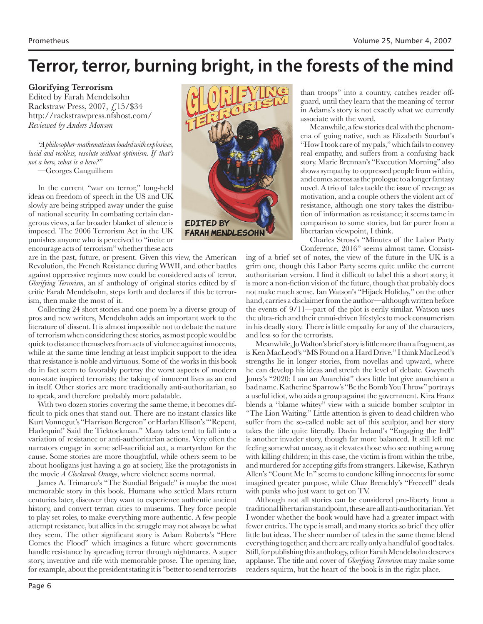# **Terror, terror, burning bright, in the forests of the mind**

### **Glorifying Terrorism**

Edited by Farah Mendelsohn Rackstraw Press, 2007, £15/\$34 http://rackstrawpress.nfshost.com/ *Reviewed by Anders Monsen*

*"A philosopher-mathematician loaded with explosives, lucid and reckless, resolute without optimism. If that's not a hero, what is a hero?"*

—Georges Canguilhem

In the current "war on terror," long-held ideas on freedom of speech in the US and UK slowly are being stripped away under the guise of national security. In combating certain dangerous views, a far broader blanket of silence is imposed. The 2006 Terrorism Act in the UK punishes anyone who is perceived to "incite or encourage acts of terrorism" whether these acts

are in the past, future, or present. Given this view, the American Revolution, the French Resistance during WWII, and other battles against oppressive regimes now could be considered acts of terror. *Glorifying Terrorism*, an sf anthology of original stories edited by sf critic Farah Mendelsohn, steps forth and declares if this be terrorism, then make the most of it.

Collecting 24 short stories and one poem by a diverse group of pros and new writers, Mendelsohn adds an important work to the literature of dissent. It is almost impossible not to debate the nature of terrorism when considering these stories, as most people would be quick to distance themselves from acts of violence against innocents, while at the same time lending at least implicit support to the idea that resistance is noble and virtuous. Some of the works in this book do in fact seem to favorably portray the worst aspects of modern non-state inspired terrorists: the taking of innocent lives as an end in itself. Other stories are more traditionally anti-authoritarian, so to speak, and therefore probably more palatable.

With two dozen stories covering the same theme, it becomes difficult to pick ones that stand out. There are no instant classics like Kurt Vonnegut's "Harrison Bergeron" or Harlan Ellison's "'Repent, Harlequin!' Said the Ticktockman." Many tales tend to fall into a variation of resistance or anti-authoritarian actions. Very often the narrators engage in some self-sacrificial act, a martyrdom for the cause. Some stories are more thoughtful, while others seem to be about hooligans just having a go at society, like the protagonists in the movie *A Clockwork Orange*, where violence seems normal.

James A. Trimarco's "The Sundial Brigade" is maybe the most memorable story in this book. Humans who settled Mars return centuries later, discover they want to experience authentic ancient history, and convert terran cities to museums. They force people to play set roles, to make everything more authentic. A few people attempt resistance, but allies in the struggle may not always be what they seem. The other significant story is Adam Roberts's "Here Comes the Flood" which imagines a future where governments handle resistance by spreading terror through nightmares. A super story, inventive and rife with memorable prose. The opening line, for example, about the president stating it is "better to send terrorists



than troops" into a country, catches reader offguard, until they learn that the meaning of terror in Adams's story is not exactly what we currently associate with the word.

Meanwhile, a few stories deal with the phenomena of going native, such as Elizabeth Sourbut's "How I took care of my pals," which fails to convey real empathy, and suffers from a confusing back story. Marie Brennan's "Execution Morning" also shows sympathy to oppressed people from within, and comes across as the prologue to a longer fantasy novel. A trio of tales tackle the issue of revenge as motivation, and a couple others the violent act of resistance, although one story takes the distribution of information as resistance; it seems tame in comparison to some stories, but far purer from a libertarian viewpoint, I think.

Charles Stross's "Minutes of the Labor Party Conference, 2016" seems almost tame. Consist-

ing of a brief set of notes, the view of the future in the UK is a grim one, though this Labor Party seems quite unlike the current authoritarian version. I find it difficult to label this a short story; it is more a non-fiction vision of the future, though that probably does not make much sense. Ian Watson's "Hijack Holiday," on the other hand, carries a disclaimer from the author—although written before the events of 9/11—part of the plot is eerily similar. Watson uses the ultra-rich and their ennui-driven lifestyles to mock consumerism in his deadly story. There is little empathy for any of the characters, and less so for the terrorists.

Meanwhile, Jo Walton's brief story is little more than a fragment, as is Ken MacLeod's "MS Found on a Hard Drive." I think MacLeod's strengths lie in longer stories, from novellas and upward, where he can develop his ideas and stretch the level of debate. Gwyneth Jones's "2020: I am an Anarchist" does little but give anarchism a bad name. Katherine Sparrow's "Be the Bomb You Throw" portrays a useful idiot, who aids a group against the government. Kira Franz blends a "blame whitey" view with a suicide bomber sculptor in "The Lion Waiting." Little attention is given to dead children who suffer from the so-called noble act of this sculptor, and her story takes the title quite literally. Davin Ireland's "Engaging the Irdl" is another invader story, though far more balanced. It still left me feeling somewhat uneasy, as it elevates those who see nothing wrong with killing children; in this case, the victim is from within the tribe, and murdered for accepting gifts from strangers. Likewise, Kathryn Allen's "Count Me In" seems to condone killing innocents for some imagined greater purpose, while Chaz Brenchly's "Freecell" deals with punks who just want to get on TV.

Although not all stories can be considered pro-liberty from a traditional libertarian standpoint, these are all anti-authoritarian. Yet I wonder whether the book would have had a greater impact with fewer entries. The type is small, and many stories so brief they offer little but ideas. The sheer number of tales in the same theme blend everything together, and there are really only a handful of good tales. Still, for publishing this anthology, editor Farah Mendelsohn deserves applause. The title and cover of *Glorifying Terrorism* may make some readers squirm, but the heart of the book is in the right place.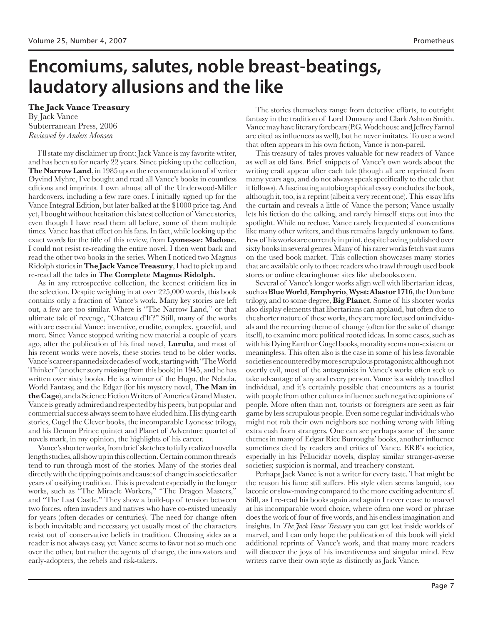### **Encomiums, salutes, noble breast-beatings, laudatory allusions and the like**

**The Jack Vance Treasury**

By Jack Vance Subterranean Press, 2006 *Reviewed by Anders Monsen*

I'll state my disclaimer up front: Jack Vance is my favorite writer, and has been so for nearly 22 years. Since picking up the collection, **The Narrow Land**, in 1985 upon the recommendation of sf writer Øyvind Myhre, I've bought and read all Vance's books in countless editions and imprints. I own almost all of the Underwood-Miller hardcovers, including a few rare ones. I initially signed up for the Vance Integral Edition, but later balked at the \$1000 price tag. And yet, I bought without hesitation this latest collection of Vance stories, even though I have read them all before, some of them multiple times. Vance has that effect on his fans. In fact, while looking up the exact words for the title of this review, from **Lyonesse: Madouc**, I could not resist re-reading the entire novel. I then went back and read the other two books in the series. When I noticed two Magnus Ridolph stories in **The Jack Vance Treasury**, I had to pick up and re-read all the tales in **The Complete Magnus Ridolph.**

As in any retrospective collection, the keenest criticism lies in the selection. Despite weighing in at over 225,000 words, this book contains only a fraction of Vance's work. Many key stories are left out, a few are too similar. Where is "The Narrow Land," or that ultimate tale of revenge, "Chateau d'If?" Still, many of the works with are essential Vance: inventive, erudite, complex, graceful, and more. Since Vance stopped writing new material a couple of years ago, after the publication of his final novel, **Lurulu**, and most of his recent works were novels, these stories tend to be older works. Vance's career spanned six decades of work, starting with "The World Thinker" (another story missing from this book) in 1945, and he has written over sixty books. He is a winner of the Hugo, the Nebula, World Fantasy, and the Edgar (for his mystery novel, **The Man in the Cage**), and a Science Fiction Writers of America Grand Master. Vance is greatly admired and respected by his peers, but popular and commercial success always seem to have eluded him. His dying earth stories, Cugel the Clever books, the incomparable Lyonesse trilogy, and his Demon Prince quintet and Planet of Adventure quartet of novels mark, in my opinion, the highlights of his career.

Vance's shorter works, from brief sketches to fully realized novella length studies, all show up in this collection. Certain common threads tend to run through most of the stories. Many of the stories deal directly with the tipping points and causes of change in societies after years of ossifying tradition. This is prevalent especially in the longer works, such as "The Miracle Workers," "The Dragon Masters," and "The Last Castle." They show a build-up of tension between two forces, often invaders and natives who have co-existed uneasily for years (often decades or centuries). The need for change often is both inevitable and necessary, yet usually most of the characters resist out of conservative beliefs in tradition. Choosing sides as a reader is not always easy, yet Vance seems to favor not so much one over the other, but rather the agents of change, the innovators and early-adopters, the rebels and risk-takers.

The stories themselves range from detective efforts, to outright fantasy in the tradition of Lord Dunsany and Clark Ashton Smith. Vance may have literary forebears (P.G. Wodehouse and Jeffrey Farnol are cited as influences as well), but he never imitates. To use a word that often appears in his own fiction, Vance is non-pareil.

This treasury of tales proves valuable for new readers of Vance as well as old fans. Brief snippets of Vance's own words about the writing craft appear after each tale (though all are reprinted from many years ago, and do not always speak specifically to the tale that it follows). A fascinating autobiographical essay concludes the book, although it, too, is a reprint (albeit a very recent one). This essay lifts the curtain and reveals a little of Vance the person; Vance usually lets his fiction do the talking, and rarely himself steps out into the spotlight. While no recluse, Vance rarely frequented sf conventions like many other writers, and thus remains largely unknown to fans. Few of his works are currently in print, despite having published over sixty books in several genres. Many of his rarer works fetch vast sums on the used book market. This collection showcases many stories that are available only to those readers who trawl through used book stores or online clearinghouse sites like abebooks.com.

Several of Vance's longer works align well with libertarian ideas, such as **Blue World**, **Emphyrio**, **Wyst: Alastor 1716**, the Durdane trilogy, and to some degree, **Big Planet**. Some of his shorter works also display elements that libertarians can applaud, but often due to the shorter nature of these works, they are more focused on individuals and the recurring theme of change (often for the sake of change itself), to examine more political rooted ideas. In some cases, such as with his Dying Earth or Cugel books, morality seems non-existent or meaningless. This often also is the case in some of his less favorable societies encountered by more scrupulous protagonists; although not overtly evil, most of the antagonists in Vance's works often seek to take advantage of any and every person. Vance is a widely travelled individual, and it's certainly possible that encounters as a tourist with people from other cultures influence such negative opinions of people. More often than not, tourists or foreigners are seen as fair game by less scrupulous people. Even some regular individuals who might not rob their own neighbors see nothing wrong with lifting extra cash from strangers. One can see perhaps some of the same themes in many of Edgar Rice Burroughs' books, another influence sometimes cited by readers and critics of Vance. ERB's societies, especially in his Pellucidar novels, display similar stranger-averse societies; suspicion is normal, and treachery constant.

Perhaps Jack Vance is not a writer for every taste. That might be the reason his fame still suffers. His style often seems languid, too laconic or slow-moving compared to the more exciting adventure sf. Still, as I re-read his books again and again I never cease to marvel at his incomparable word choice, where often one word or phrase does the work of four of five words, and his endless imagination and insights. In *The Jack Vance Treasury* you can get lost inside worlds of marvel, and I can only hope the publication of this book will yield additional reprints of Vance's work, and that many more readers will discover the joys of his inventiveness and singular mind. Few writers carve their own style as distinctly as Jack Vance.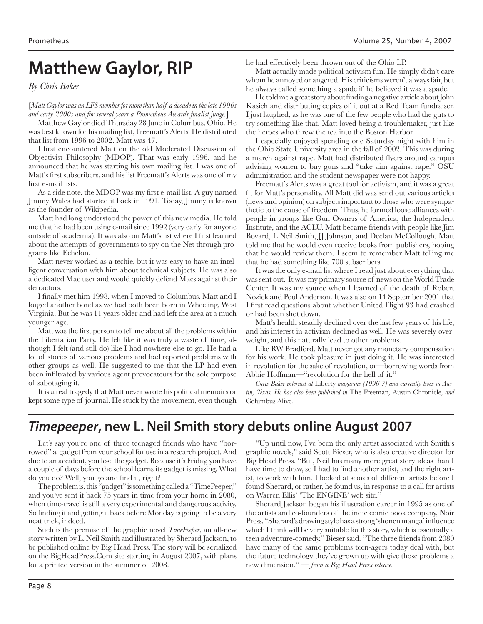# **Matthew Gaylor, RIP** he had effectively been thrown out of the Ohio LP.<br>Matt actually made political activism fun. He sin

*By Chris Baker*

[*Matt Gaylor was an LFS member for more than half a decade in the late 1990s and early 2000s and for several years a Prometheus Awards finalist judge.*]

Matthew Gaylor died Thursday 28 June in Columbus, Ohio. He was best known for his mailing list, Freematt's Alerts. He distributed that list from 1996 to 2002. Matt was 47.

I first encountered Matt on the old Moderated Discussion of Objectivist Philosophy (MDOP). That was early 1996, and he announced that he was starting his own mailing list. I was one of Matt's first subscribers, and his list Freematt's Alerts was one of my first e-mail lists.

As a side note, the MDOP was my first e-mail list. A guy named Jimmy Wales had started it back in 1991. Today, Jimmy is known as the founder of Wikipedia.

Matt had long understood the power of this new media. He told me that he had been using e-mail since 1992 (very early for anyone outside of academia). It was also on Matt's list where I first learned about the attempts of governments to spy on the Net through programs like Echelon.

Matt never worked as a techie, but it was easy to have an intelligent conversation with him about technical subjects. He was also a dedicated Mac user and would quickly defend Macs against their detractors.

I finally met him 1998, when I moved to Columbus. Matt and I forged another bond as we had both been born in Wheeling, West Virginia. But he was 11 years older and had left the area at a much younger age.

Matt was the first person to tell me about all the problems within the Libertarian Party. He felt like it was truly a waste of time, although I felt (and still do) like I had nowhere else to go. He had a lot of stories of various problems and had reported problems with other groups as well. He suggested to me that the LP had even been infiltrated by various agent provocateurs for the sole purpose of sabotaging it.

It is a real tragedy that Matt never wrote his political memoirs or kept some type of journal. He stuck by the movement, even though

Matt actually made political activism fun. He simply didn't care whom he annoyed or angered. His criticisms weren't always fair, but he always called something a spade if he believed it was a spade.

He told me a great story about finding a negative article about John Kasich and distributing copies of it out at a Red Team fundraiser. I just laughed, as he was one of the few people who had the guts to try something like that. Matt loved being a troublemaker, just like the heroes who threw the tea into the Boston Harbor.

I especially enjoyed spending one Saturday night with him in the Ohio State University area in the fall of 2002. This was during a march against rape. Matt had distributed flyers around campus advising women to buy guns and "take aim against rape." OSU administration and the student newspaper were not happy.

Freematt's Alerts was a great tool for activism, and it was a great fit for Matt's personality. All Matt did was send out various articles (news and opinion) on subjects important to those who were sympathetic to the cause of freedom. Thus, he formed loose alliances with people in groups like Gun Owners of America, the Independent Institute, and the ACLU. Matt became friends with people like Jim Bovard, L Neil Smith, JJ Johnson, and Declan McCollough. Matt told me that he would even receive books from publishers, hoping that he would review them. I seem to remember Matt telling me that he had something like 700 subscribers.

It was the only e-mail list where I read just about everything that was sent out. It was my primary source of news on the World Trade Center. It was my source when I learned of the death of Robert Nozick and Poul Anderson. It was also on 14 September 2001 that I first read questions about whether United Flight 93 had crashed or had been shot down.

Matt's health steadily declined over the last few years of his life, and his interest in activism declined as well. He was severely overweight, and this naturally lead to other problems.

Like RW Bradford, Matt never got any monetary compensation for his work. He took pleasure in just doing it. He was interested in revolution for the sake of revolution, or—borrowing words from Abbie Hoffman—"revolution for the hell of it."

*Chris Baker interned at* Liberty *magazine (1996-7) and currently lives in Austin, Texas. He has also been published in* The Freeman*,* Austin Chronicle*, and*  Columbus Alive*.*

### **Timepeeper, new L. Neil Smith story debuts online August 2007**

Let's say you're one of three teenaged friends who have "borrowed" a gadget from your school for use in a research project. And due to an accident, you lose the gadget. Because it's Friday, you have a couple of days before the school learns its gadget is missing. What do you do? Well, you go and find it, right?

The problem is, this "gadget" is something called a "TimePeeper," and you've sent it back 75 years in time from your home in 2080, when time-travel is still a very experimental and dangerous activity. So finding it and getting it back before Monday is going to be a very neat trick, indeed.

Such is the premise of the graphic novel *TimePeeper*, an all-new story written by L. Neil Smith and illustrated by Sherard Jackson, to be published online by Big Head Press. The story will be serialized on the BigHeadPress.Com site starting in August 2007, with plans for a printed version in the summer of 2008.

"Up until now, I've been the only artist associated with Smith's graphic novels," said Scott Bieser, who is also creative director for Big Head Press. "But, Neil has many more great story ideas than I have time to draw, so I had to find another artist, and the right artist, to work with him. I looked at scores of different artists before I found Sherard, or rather, he found us, in response to a call for artists on Warren Ellis' 'The ENGINE' web site.'

Sherard Jackson began his illustration career in 1995 as one of the artists and co-founders of the indie comic book company, Noir Press. "Sharard's drawing style has a strong 'shonen manga' influence which I think will be very suitable for this story, which is essentially a teen adventure-comedy," Bieser said. "The three friends from 2080 have many of the same problems teen-agers today deal with, but the future technology they've grown up with give those problems a new dimension." — *from a Big Head Press release.*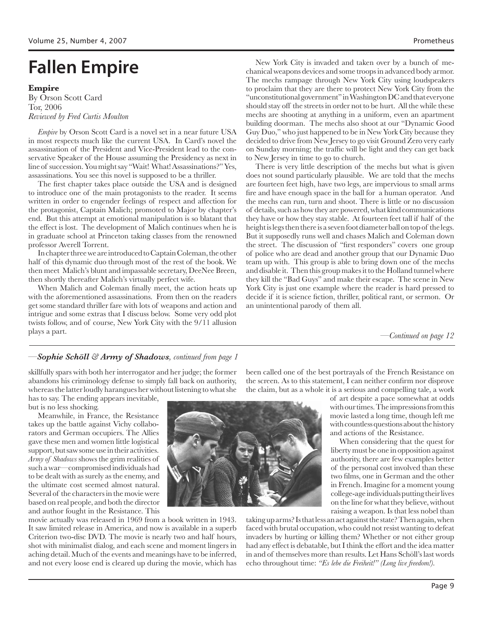# **Fallen Empire**

### **Empire**

By Orson Scott Card Tor, 2006 *Reviewed by Fred Curtis Moulton*

*Empire* by Orson Scott Card is a novel set in a near future USA in most respects much like the current USA. In Card's novel the assassination of the President and Vice-President lead to the conservative Speaker of the House assuming the Presidency as next in line of succession. You might say "Wait! What! Assassinations?" Yes, assassinations. You see this novel is supposed to be a thriller.

The first chapter takes place outside the USA and is designed to introduce one of the main protagonists to the reader. It seems written in order to engender feelings of respect and affection for the protagonist, Captain Malich; promoted to Major by chapter's end. But this attempt at emotional manipulation is so blatant that the effect is lost. The development of Malich continues when he is in graduate school at Princeton taking classes from the renowned professor Averell Torrent.

In chapter three we are introduced to Captain Coleman, the other half of this dynamic duo through most of the rest of the book. We then meet Malich's blunt and impassable secretary, DeeNee Breen, then shortly thereafter Malich's virtually perfect wife.

When Malich and Coleman finally meet, the action heats up with the aforementioned assassinations. From then on the readers get some standard thriller fare with lots of weapons and action and intrigue and some extras that I discuss below. Some very odd plot twists follow, and of course, New York City with the 9/11 allusion plays a part.

New York City is invaded and taken over by a bunch of mechanical weapons devices and some troops in advanced body armor. The mechs rampage through New York City using loudspeakers to proclaim that they are there to protect New York City from the "unconstitutional government" in Washington DC and that everyone should stay off the streets in order not to be hurt. All the while these mechs are shooting at anything in a uniform, even an apartment building doorman. The mechs also shoot at our "Dynamic Good Guy Duo," who just happened to be in New York City because they decided to drive from New Jersey to go visit Ground Zero very early on Sunday morning; the traffic will be light and they can get back to New Jersey in time to go to church.

There is very little description of the mechs but what is given does not sound particularly plausible. We are told that the mechs are fourteen feet high, have two legs, are impervious to small arms fire and have enough space in the ball for a human operator. And the mechs can run, turn and shoot. There is little or no discussion of details, such as how they are powered, what kind communications they have or how they stay stable. At fourteen feet tall if half of the height is legs then there is a seven foot diameter ball on top of the legs. But it supposedly runs well and chases Malich and Coleman down the street. The discussion of "first responders" covers one group of police who are dead and another group that our Dynamic Duo team up with. This group is able to bring down one of the mechs and disable it. Then this group makes it to the Holland tunnel where they kill the "Bad Guys" and make their escape. The scene in New York City is just one example where the reader is hard pressed to decide if it is science fiction, thriller, political rant, or sermon. Or an unintentional parody of them all.

*—Continued on page 12*

### *—Sophie Schöll & Army of Shadows, continued from page 1*

skillfully spars with both her interrogator and her judge; the former abandons his criminology defense to simply fall back on authority, whereas the latter loudly harangues her without listening to what she

has to say. The ending appears inevitable, but is no less shocking.

Meanwhile, in France, the Resistance takes up the battle against Vichy collaborators and German occupiers. The Allies gave these men and women little logistical support, but saw some use in their activities. *Army of Shadows* shows the grim realities of such a war—compromised individuals had to be dealt with as surely as the enemy, and the ultimate cost seemed almost natural. Several of the characters in the movie were based on real people, and both the director and author fought in the Resistance. This

movie actually was released in 1969 from a book written in 1943. It saw limited release in America, and now is available in a superb Criterion two-disc DVD. The movie is nearly two and half hours, shot with minimalist dialog, and each scene and moment lingers in aching detail. Much of the events and meanings have to be inferred, and not every loose end is cleared up during the movie, which has been called one of the best portrayals of the French Resistance on the screen. As to this statement, I can neither confirm nor disprove the claim, but as a whole it is a serious and compelling tale, a work

of art despite a pace somewhat at odds with our times. The impressions from this movie lasted a long time, though left me with countless questions about the history and actions of the Resistance.

When considering that the quest for liberty must be one in opposition against authority, there are few examples better of the personal cost involved than these two films, one in German and the other in French. Imagine for a moment young college-age individuals putting their lives on the line for what they believe, without raising a weapon. Is that less nobel than

taking up arms? Is that less an act against the state? Then again, when faced with brutal occupation, who could not resist wanting to defeat invaders by hurting or killing them? Whether or not either group had any effect is debatable, but I think the effort and the idea matter in and of themselves more than results. Let Hans Schöll's last words echo throughout time: *"Es lebe die Freiheit!" (Long live freedom!).*

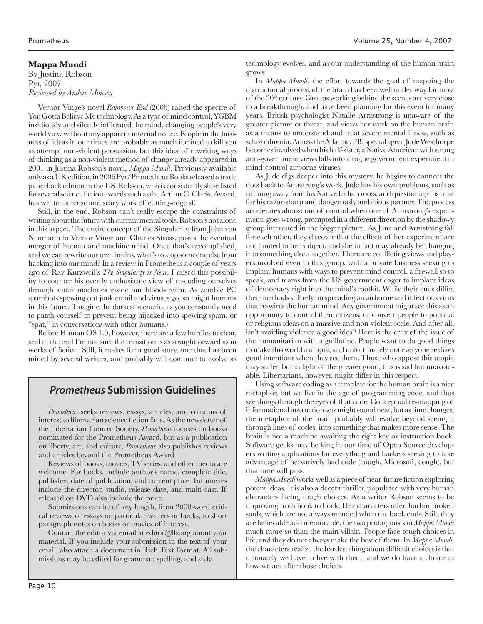### **Mappa Mundi**

By Justina Robson Pyr, 2007 *Reviewed by Anders Monsen*

Vernor Vinge's novel *Rainbows End* (2006) raised the spectre of You Gotta Believe Me technology. As a type of mind control, YGBM insidiously and silently infiltrated the mind, changing people's very world view without any apparent internal notice. People in the business of ideas in our times are probably as much inclined to kill you as attempt non-violent persuasion, but this idea of rewriting ways of thinking as a non-violent method of change already appeared in 2001 in Justina Robson's novel, *Mappa Mundi*. Previously available only as a UK edition, in 2006 Pyr/Prometheus Books released a trade paperback edition in the US. Robson, who is consistently shortlisted for several science fiction awards such as the Arthur C. Clarke Award, has written a tense and scary work of cutting-edge sf.

Still, in the end, Robson can't really escape the constraints of writing about the future with current mental tools. Robson's not alone in this aspect. The entire concept of the Singularity, from John von Neumann to Vernor Vinge and Charles Stross, posits the eventual merger of human and machine mind. Once that's accomplished, and we can rewrite our own brains, what's to stop someone else from hacking into our mind? In a review in Prometheus a couple of years ago of Ray Kurzweil's *The Singularity is Near*, I raised this possibility to counter his overtly enthusiastic view of re-coding ourselves through smart machines inside our bloodstream. As zombie PC spambots spewing out junk email and viruses go, so might humans in this future. (Imagine the darkest scenario, as you constantly need to patch yourself to prevent being hijacked into spewing spam, or "spat," in conversations with other humans.)

Before Human OS 1.0, however, there are a few hurdles to clear, and in the end I'm not sure the transition is as straightforward as in works of fiction. Still, it makes for a good story, one that has been mined by several writers, and probably will continue to evolve as

### **Prometheus Submission Guidelines**

*Prometheus* seeks reviews, esssys, articles, and columns of interest to libertarian science fiction fans. As the newsletter of the Libertarian Futurist Society, *Prometheus* focuses on books nominated for the Prometheus Award, but as a publication on liberty, art, and culture, *Prometheus* also publishes reviews and articles beyond the Prometheus Award.

Reviews of books, movies, TV series, and other media are welcome. For books, include author's name, complete title, publisher, date of publication, and current price. For movies include the director, studio, release date, and main cast. If released on DVD also include the price.

Submissions can be of any length, from 2000-word critical reviews or essays on particular writers or books, to short paragraph notes on books or movies of interest.

Contact the editor via email at editor@lfs.org about your material. If you include your submission in the text of your email, also attach a document in Rich Text Format. All submissions may be edited for grammar, spelling, and style.

technology evolves, and as our understanding of the human brain grows.

In *Mappa Mundi*, the effort towards the goal of mapping the instructional process of the brain has been well under way for most of the 20th century. Groups working behind the scenes are very close to a breakthrough, and have been planning for this event for many years. British psychologist Natalie Armstrong is unaware of the greater picture or threat, and views her work on the human brain as a means to understand and treat severe mental illness, such as schizophrenia. Across the Atlantic, FBI special agent Jude Westhorpe becomes involved when his half-sister, a Native American with strong anti-government views falls into a rogue government experiment in mind-control airborne viruses.

As Jude digs deeper into this mystery, he begins to connect the dots back to Amrstrong's work. Jude has his own problems, such as running away from his Native Indian roots, and questioning his trust for his razor-sharp and dangerously ambitious partner. The process accelerates almost out of control when one of Armstrong's experiments goes wrong, prompted in a different direction by the shadowy group interested in the bigger picture. As June and Armstrong fall for each other, they discover that the effects of her experiment are not limited to her subject, and she in fact may already be changing into something else altogether. There are conflicting views and players involved even in this group, with a private business seeking to implant humans with ways to prevent mind control, a firewall so to speak, and teams from the US government eager to implant ideas of democracy right into the mind's rootkit. While their ends differ, their methods still rely on spreading an airborne and infectious virus that re-wires the human mind. Any government might see this as an opportunity to control their citizens, or convert people to political or religious ideas on a massive and non-violent scale. And after all, isn't avoiding violence a good idea? Here is the crux of the issue of the humanitarian with a guillotine. People want to do good things to make this world a utopia, and unfortunately not everyone realizes good intentions when they see them. Those who oppose this utopia may suffer, but in light of the greater good, this is sad but unavoidable. Libertarians, however, might differ in this respect.

Using software coding as a template for the human brain is a nice metaphor, but we live in the age of programming code, and thus see things through the eyes of that code. Conceptual re-mapping of informational instruction sets might sound neat, but as time changes, the metaphor of the brain probably will evolve beyond seeing it through lines of codes, into something that makes more sense. The brain is not a machine awaiting the right key or instruction book. Software geeks may be king in our time of Open Source developers writing applications for everything and hackers seeking to take advantage of pervasively bad code (cough, Microsoft, cough), but that time will pass.

*Mappa Mundi* works well as a piece of near-future fiction exploring potent ideas. It is also a decent thriller, populated with very human characters facing tough choices. As a writer Robson seems to be improving from book to book. Her characters often harbor broken souls, which are not always mended when the book ends. Still, they are believable and memorable, the two protagonists in *Mappa Mundi* much more so than the main villain. People face tough choices in life, and they do not always make the best of them. In *Mappa Mundi,* the characters realize the hardest thing about difficult choices is that ultimately we have to live with them, and we do have a choice in how we act after those choices.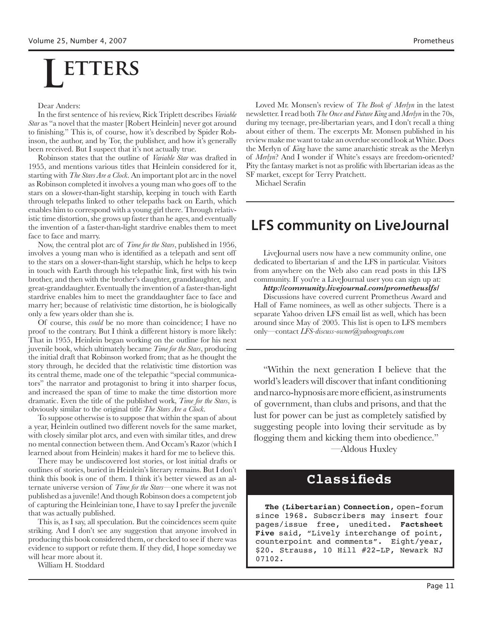# **ETTERS**

### Dear Anders:

In the first sentence of his review, Rick Triplett describes *Variable Star* as "a novel that the master [Robert Heinlein] never got around to finishing." This is, of course, how it's described by Spider Robinson, the author, and by Tor, the publisher, and how it's generally been received. But I suspect that it's not actually true.

Robinson states that the outline of *Variable Star* was drafted in 1955, and mentions various titles that Heinlein considered for it, starting with *The Stars Are a Clock*. An important plot arc in the novel as Robinson completed it involves a young man who goes off to the stars on a slower-than-light starship, keeping in touch with Earth through telepaths linked to other telepaths back on Earth, which enables him to correspond with a young girl there. Through relativistic time distortion, she grows up faster than he ages, and eventually the invention of a faster-than-light stardrive enables them to meet face to face and marry.

Now, the central plot arc of *Time for the Stars*, published in 1956, involves a young man who is identified as a telepath and sent off to the stars on a slower-than-light starship, which he helps to keep in touch with Earth through his telepathic link, first with his twin brother, and then with the brother's daughter, granddaughter, and great-granddaughter. Eventually the invention of a faster-than-light stardrive enables him to meet the granddaughter face to face and marry her; because of relativistic time distortion, he is biologically only a few years older than she is.

Of course, this *could* be no more than coincidence; I have no proof to the contrary. But I think a different history is more likely: That in 1955, Heinlein began working on the outline for his next juvenile book, which ultimately became *Time for the Stars*, producing the initial draft that Robinson worked from; that as he thought the story through, he decided that the relativistic time distortion was its central theme, made one of the telepathic "special communicators" the narrator and protagonist to bring it into sharper focus, and increased the span of time to make the time distortion more dramatic. Even the title of the published work, *Time for the Stars*, is obviously similar to the original title *The Stars Are a Clock*.

To suppose otherwise is to suppose that within the span of about a year, Heinlein outlined two different novels for the same market, with closely similar plot arcs, and even with similar titles, and drew no mental connection between them. And Occam's Razor (which I learned about from Heinlein) makes it hard for me to believe this.

There may be undiscovered lost stories, or lost initial drafts or outlines of stories, buried in Heinlein's literary remains. But I don't think this book is one of them. I think it's better viewed as an alternate universe version of *Time for the Stars*—one where it was not published as a juvenile! And though Robinson does a competent job of capturing the Heinleinian tone, I have to say I prefer the juvenile that was actually published.

This is, as I say, all speculation. But the coincidences seem quite striking. And I don't see any suggestion that anyone involved in producing this book considered them, or checked to see if there was evidence to support or refute them. If they did, I hope someday we will hear more about it.

William H. Stoddard

Loved Mr. Monsen's review of *The Book of Merlyn* in the latest newsletter. I read both *The Once and Future King* and *Merlyn* in the 70s, during my teenage, pre-libertarian years, and I don't recall a thing about either of them. The excerpts Mr. Monsen published in his review make me want to take an overdue second look at White. Does the Merlyn of *King* have the same anarchistic streak as the Merlyn of *Merlyn*? And I wonder if White's essays are freedom-oriented? Pity the fantasy market is not as prolific with libertarian ideas as the SF market, except for Terry Pratchett.

Michael Serafin

### **LFS community on LiveJournal**

LiveJournal users now have a new community online, one dedicated to libertarian sf and the LFS in particular. Visitors from anywhere on the Web also can read posts in this LFS community. If you're a LiveJournal user you can sign up at:

### *http://community.livejournal.com/prometheuslfs/*

Discussions have covered current Prometheus Award and Hall of Fame nominees, as well as other subjects. There is a separate Yahoo driven LFS email list as well, which has been around since May of 2005. This list is open to LFS members only—contact *LFS-discuss-owner@yahoogroups.com*

"Within the next generation I believe that the world's leaders will discover that infant conditioning and narco-hypnosis are more efficient, as instruments of government, than clubs and prisons, and that the lust for power can be just as completely satisfied by suggesting people into loving their servitude as by flogging them and kicking them into obedience."

—Aldous Huxley

### **Classifieds**

**The (Libertarian) Connection**, open-forum since 1968. Subscribers may insert four pages/issue free, unedited. **Factsheet Five** said, "Lively interchange of point, counterpoint and comments". Eight/year, \$20. Strauss, 10 Hill #22-LP, Newark NJ 07102.